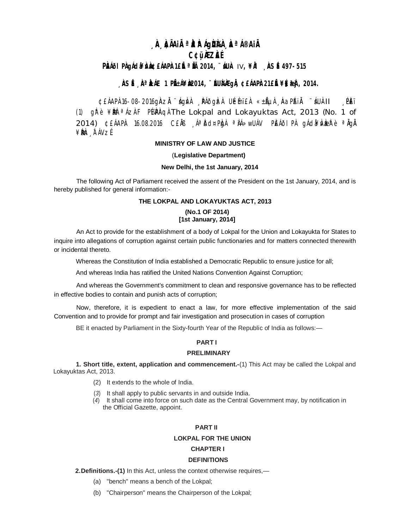# **¸ÀA¸À¢ÃAiÀÄ ªÀåªÀºÁgÀUÀ¼À ¸ÀaªÁ®AiÀÄ C¢ü¸ÀÆZÀ£É**

## **PÀ@IPÀgÁd&¥ÀÀ@£ÁAPÀ1£ĚªÄL 2014, ¨&UÀ IV, ¥ÀL ÀSÉ497-515**

## , **ÀSÉ À <sup>a</sup>ÀÁE 1 PÉÁ¥À 2014, ¨ÉUÀ À GAE À 2014.**

¢£ÁAPÀ 16-08-2016gÀZĂ ¨ ágÌvÀ ¸ ÀĀðgÌzÀ UÉmï£À «±ÃµÀ ¸ ÀaPÁiĂ ¨ áUÀII ¸ PÈï (1)  $q \hat{\bf r}$  è ¥ $\hat{\bf r}$   $\hat{\bf r}$   $\hat{\bf r}$   $\hat{\bf r}$   $\hat{\bf r}$   $\hat{\bf r}$   $\hat{\bf r}$   $\hat{\bf r}$   $\hat{\bf r}$   $\hat{\bf r}$   $\hat{\bf r}$   $\hat{\bf r}$   $\hat{\bf r}$   $\hat{\bf r}$   $\hat{\bf r}$   $\hat{\bf r}$   $\hat{\bf r}$   $\hat{\bf r}$   $\hat{\bf r}$   $\hat{\bf r}$   $\hat{\bf r}$   $\hat{\bf r}$   $\hat{\bf r$ 2014) ¢£ÁAPÀ: 16.08.2016 C£ĂB, Áª Ďd¤PÀgÀ ª ÀÁ»wUÁV PÈÁðIPÀ gÁdã¥ÀVÀæzPè ª ÀgÀ ¥ ÀæPÀn¸ À¯ÁVz É**.**

## **MINISTRY OF LAW AND JUSTICE**

#### (**Legislative Department)**

#### **New Delhi, the 1st January, 2014**

The following Act of Parliament received the assent of the President on the 1st January, 2014, and is hereby published for general information:-

## **THE LOKPAL AND LOKAYUKTAS ACT, 2013**

### **(No.1 OF 2014) [1st January, 2014]**

An Act to provide for the establishment of a body of Lokpal for the Union and Lokayukta for States to inquire into allegations of corruption against certain public functionaries and for matters connected therewith or incidental thereto.

Whereas the Constitution of India established a Democratic Republic to ensure justice for all;

And whereas India has ratified the United Nations Convention Against Corruption;

And whereas the Government's commitment to clean and responsive governance has to be reflected in effective bodies to contain and punish acts of corruption;

Now, therefore, it is expedient to enact a law, for more effective implementation of the said Convention and to provide for prompt and fair investigation and prosecution in cases of corruption

BE it enacted by Parliament in the Sixty-fourth Year of the Republic of India as follows:—

## **PART I**

## **PRELIMINARY**

**1. Short title, extent, application and commencement.-**(1) This Act may be called the Lokpal and Lokayuktas Act, 2013.

- (2) It extends to the whole of India.
- (*3*) It shall apply to public servants in and outside India.
- (*4*) It shall come into force on such date as the Central Government may, by notification in the Official Gazette, appoint.

### **PART II**

#### **LOKPAL FOR THE UNION**

### **CHAPTER I**

#### **DEFINITIONS**

**2.Definitions.-(1)** In this Act, unless the context otherwise requires,—

- (a) "bench" means a bench of the Lokpal;
- (b) "Chairperson" means the Chairperson of the Lokpal;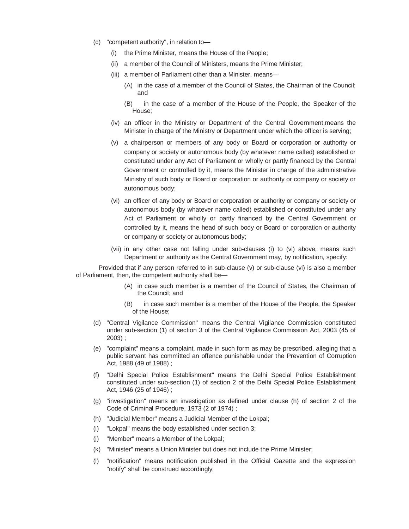- (c) "competent authority", in relation to—
	- (i) the Prime Minister, means the House of the People;
	- (ii) a member of the Council of Ministers, means the Prime Minister;
	- (iii) a member of Parliament other than a Minister, means—
		- (A) in the case of a member of the Council of States, the Chairman of the Council; and
		- (B) in the case of a member of the House of the People, the Speaker of the House;
	- (iv) an officer in the Ministry or Department of the Central Government,means the Minister in charge of the Ministry or Department under which the officer is serving;
	- (v) a chairperson or members of any body or Board or corporation or authority or company or society or autonomous body (by whatever name called) established or constituted under any Act of Parliament or wholly or partly financed by the Central Government or controlled by it, means the Minister in charge of the administrative Ministry of such body or Board or corporation or authority or company or society or autonomous body;
	- (vi) an officer of any body or Board or corporation or authority or company or society or autonomous body (by whatever name called) established or constituted under any Act of Parliament or wholly or partly financed by the Central Government or controlled by it, means the head of such body or Board or corporation or authority or company or society or autonomous body;
	- (vii) in any other case not falling under sub-clauses (i) to (vi) above, means such Department or authority as the Central Government may, by notification, specify:

Provided that if any person referred to in sub-clause (v) or sub-clause (vi) is also a member of Parliament, then, the competent authority shall be—

- (A) in case such member is a member of the Council of States, the Chairman of the Council; and
- (B) in case such member is a member of the House of the People, the Speaker of the House;
- (d) "Central Vigilance Commission" means the Central Vigilance Commission constituted under sub-section (1) of section 3 of the Central Vigilance Commission Act, 2003 (45 of 2003) ;
- (e) "complaint" means a complaint, made in such form as may be prescribed, alleging that a public servant has committed an offence punishable under the Prevention of Corruption Act, 1988 (49 of 1988) ;
- (f) "Delhi Special Police Establishment" means the Delhi Special Police Establishment constituted under sub-section (1) of section 2 of the Delhi Special Police Establishment Act, 1946 (25 of 1946) ;
- (g) "investigation" means an investigation as defined under clause (h) of section 2 of the Code of Criminal Procedure, 1973 (2 of 1974) ;
- (h) "Judicial Member" means a Judicial Member of the Lokpal;
- (i) "Lokpal" means the body established under section 3;
- (j) "Member" means a Member of the Lokpal;
- (k) "Minister" means a Union Minister but does not include the Prime Minister;
- (l) "notification" means notification published in the Official Gazette and the expression "notify" shall be construed accordingly;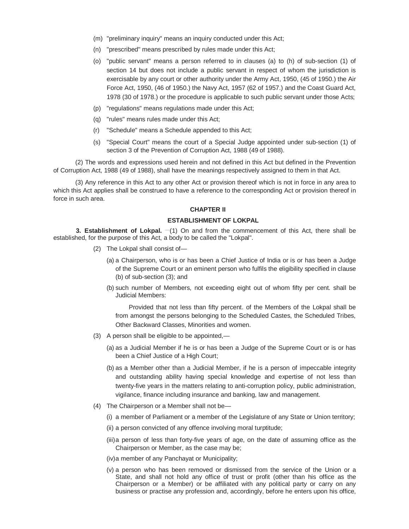- (m) "preliminary inquiry" means an inquiry conducted under this Act;
- (n) "prescribed" means prescribed by rules made under this Act;
- (o) "public servant" means a person referred to in clauses (a) to (h) of sub-section (1) of section 14 but does not include a public servant in respect of whom the jurisdiction is exercisable by any court or other authority under the Army Act, 1950, (45 of 1950.) the Air Force Act, 1950, (46 of 1950.) the Navy Act, 1957 (62 of 1957.) and the Coast Guard Act, 1978 (30 of 1978.) or the procedure is applicable to such public servant under those Acts;
- (p) "regulations" means regulations made under this Act;
- (q) "rules" means rules made under this Act;
- (r) "Schedule" means a Schedule appended to this Act;
- (s) "Special Court" means the court of a Special Judge appointed under sub-section (1) of section 3 of the Prevention of Corruption Act, 1988 (49 of 1988).

(2) The words and expressions used herein and not defined in this Act but defined in the Prevention of Corruption Act, 1988 (49 of 1988), shall have the meanings respectively assigned to them in that Act.

(3) Any reference in this Act to any other Act or provision thereof which is not in force in any area to which this Act applies shall be construed to have a reference to the corresponding Act or provision thereof in force in such area.

#### **CHAPTER II**

#### **ESTABLISHMENT OF LOKPAL**

**3. Establishment of Lokpal.**  $-(1)$  On and from the commencement of this Act, there shall be established, for the purpose of this Act, a body to be called the "Lokpal".

- (2) The Lokpal shall consist of—
	- (a) a Chairperson, who is or has been a Chief Justice of India or is or has been a Judge of the Supreme Court or an eminent person who fulfils the eligibility specified in clause (b) of sub-section (3); and
	- (b) such number of Members, not exceeding eight out of whom fifty per cent. shall be Judicial Members:

Provided that not less than fifty percent. of the Members of the Lokpal shall be from amongst the persons belonging to the Scheduled Castes, the Scheduled Tribes, Other Backward Classes, Minorities and women.

- (3) A person shall be eligible to be appointed,—
	- (a) as a Judicial Member if he is or has been a Judge of the Supreme Court or is or has been a Chief Justice of a High Court;
	- (b) as a Member other than a Judicial Member, if he is a person of impeccable integrity and outstanding ability having special knowledge and expertise of not less than twenty-five years in the matters relating to anti-corruption policy, public administration, vigilance, finance including insurance and banking, law and management.
- (4) The Chairperson or a Member shall not be—
	- (i) a member of Parliament or a member of the Legislature of any State or Union territory;
	- (ii) a person convicted of any offence involving moral turptitude;
	- (iii)a person of less than forty-five years of age, on the date of assuming office as the Chairperson or Member, as the case may be;
	- (iv)a member of any Panchayat or Municipality;
	- (v) a person who has been removed or dismissed from the service of the Union or a State, and shall not hold any office of trust or profit (other than his office as the Chairperson or a Member) or be affiliated with any political party or carry on any business or practise any profession and, accordingly, before he enters upon his office,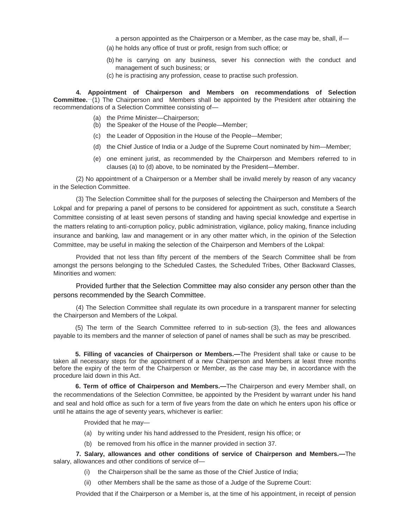a person appointed as the Chairperson or a Member, as the case may be, shall, if—

- (a) he holds any office of trust or profit, resign from such office; or
- (b) he is carrying on any business, sever his connection with the conduct and management of such business; or
- (c) he is practising any profession, cease to practise such profession.

**4. Appointment of Chairperson and Members on recommendations of Selection Committee.** (1) The Chairperson and Members shall be appointed by the President after obtaining the recommendations of a Selection Committee consisting of—

- (a) the Prime Minister—Chairperson;
- (b) the Speaker of the House of the People—Member;
- (c) the Leader of Opposition in the House of the People—Member;
- (d) the Chief Justice of India or a Judge of the Supreme Court nominated by him—Member;
- (e) one eminent jurist, as recommended by the Chairperson and Members referred to in clauses (a) to (d) above, to be nominated by the President—Member.

(2) No appointment of a Chairperson or a Member shall be invalid merely by reason of any vacancy in the Selection Committee.

(3) The Selection Committee shall for the purposes of selecting the Chairperson and Members of the Lokpal and for preparing a panel of persons to be considered for appointment as such, constitute a Search Committee consisting of at least seven persons of standing and having special knowledge and expertise in the matters relating to anti-corruption policy, public administration, vigilance, policy making, finance including insurance and banking, law and management or in any other matter which, in the opinion of the Selection Committee, may be useful in making the selection of the Chairperson and Members of the Lokpal:

Provided that not less than fifty percent of the members of the Search Committee shall be from amongst the persons belonging to the Scheduled Castes, the Scheduled Tribes, Other Backward Classes, Minorities and women:

Provided further that the Selection Committee may also consider any person other than the persons recommended by the Search Committee.

(4) The Selection Committee shall regulate its own procedure in a transparent manner for selecting the Chairperson and Members of the Lokpal.

(5) The term of the Search Committee referred to in sub-section (3), the fees and allowances payable to its members and the manner of selection of panel of names shall be such as may be prescribed.

**5. Filling of vacancies of Chairperson or Members.—**The President shall take or cause to be taken all necessary steps for the appointment of a new Chairperson and Members at least three months before the expiry of the term of the Chairperson or Member, as the case may be, in accordance with the procedure laid down in this Act.

**6. Term of office of Chairperson and Members.—**The Chairperson and every Member shall, on the recommendations of the Selection Committee, be appointed by the President by warrant under his hand and seal and hold office as such for a term of five years from the date on which he enters upon his office or until he attains the age of seventy years, whichever is earlier:

Provided that he may—

- (a) by writing under his hand addressed to the President, resign his office; or
- (b) be removed from his office in the manner provided in section 37.

**7. Salary, allowances and other conditions of service of Chairperson and Members.—**The salary, allowances and other conditions of service of—

- (i) the Chairperson shall be the same as those of the Chief Justice of India;
- (ii) other Members shall be the same as those of a Judge of the Supreme Court:

Provided that if the Chairperson or a Member is, at the time of his appointment, in receipt of pension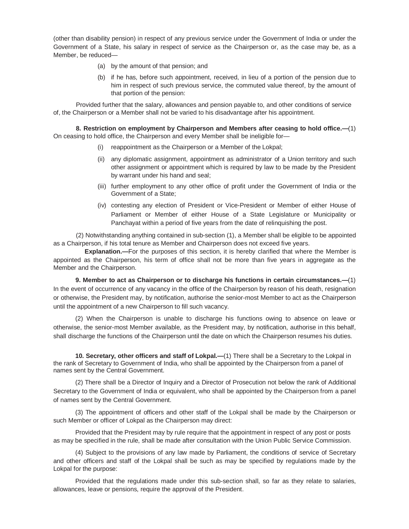(other than disability pension) in respect of any previous service under the Government of India or under the Government of a State, his salary in respect of service as the Chairperson or, as the case may be, as a Member, be reduced—

- (a) by the amount of that pension; and
- (b) if he has, before such appointment, received, in lieu of a portion of the pension due to him in respect of such previous service, the commuted value thereof, by the amount of that portion of the pension:

Provided further that the salary, allowances and pension payable to, and other conditions of service of, the Chairperson or a Member shall not be varied to his disadvantage after his appointment.

**8. Restriction on employment by Chairperson and Members after ceasing to hold office.—**(1) On ceasing to hold office, the Chairperson and every Member shall be ineligible for—

- (i) reappointment as the Chairperson or a Member of the Lokpal;
- (ii) any diplomatic assignment, appointment as administrator of a Union territory and such other assignment or appointment which is required by law to be made by the President by warrant under his hand and seal;
- (iii) further employment to any other office of profit under the Government of India or the Government of a State;
- (iv) contesting any election of President or Vice-President or Member of either House of Parliament or Member of either House of a State Legislature or Municipality or Panchayat within a period of five years from the date of relinquishing the post.

(2) Notwithstanding anything contained in sub-section (1), a Member shall be eligible to be appointed as a Chairperson, if his total tenure as Member and Chairperson does not exceed five years.

**Explanation.—**For the purposes of this section, it is hereby clarified that where the Member is appointed as the Chairperson, his term of office shall not be more than five years in aggregate as the Member and the Chairperson.

**9. Member to act as Chairperson or to discharge his functions in certain circumstances.—**(1) In the event of occurrence of any vacancy in the office of the Chairperson by reason of his death, resignation or otherwise, the President may, by notification, authorise the senior-most Member to act as the Chairperson until the appointment of a new Chairperson to fill such vacancy.

(2) When the Chairperson is unable to discharge his functions owing to absence on leave or otherwise, the senior-most Member available, as the President may, by notification, authorise in this behalf, shall discharge the functions of the Chairperson until the date on which the Chairperson resumes his duties.

**10. Secretary, other officers and staff of Lokpal.—**(1) There shall be a Secretary to the Lokpal in the rank of Secretary to Government of India, who shall be appointed by the Chairperson from a panel of names sent by the Central Government.

(2) There shall be a Director of Inquiry and a Director of Prosecution not below the rank of Additional Secretary to the Government of India or equivalent, who shall be appointed by the Chairperson from a panel of names sent by the Central Government.

(3) The appointment of officers and other staff of the Lokpal shall be made by the Chairperson or such Member or officer of Lokpal as the Chairperson may direct:

Provided that the President may by rule require that the appointment in respect of any post or posts as may be specified in the rule, shall be made after consultation with the Union Public Service Commission.

(4) Subject to the provisions of any law made by Parliament, the conditions of service of Secretary and other officers and staff of the Lokpal shall be such as may be specified by regulations made by the Lokpal for the purpose:

Provided that the regulations made under this sub-section shall, so far as they relate to salaries, allowances, leave or pensions, require the approval of the President.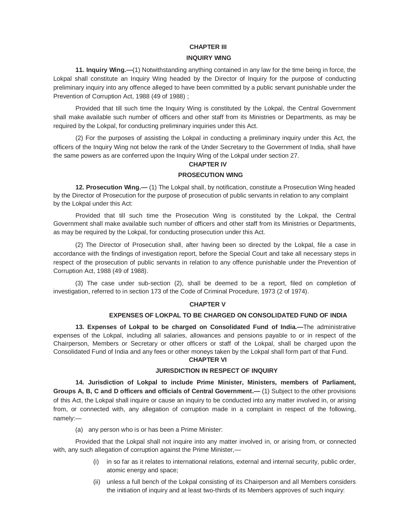## **CHAPTER III**

## **INQUIRY WING**

**11. Inquiry Wing.—**(1) Notwithstanding anything contained in any law for the time being in force, the Lokpal shall constitute an Inquiry Wing headed by the Director of Inquiry for the purpose of conducting preliminary inquiry into any offence alleged to have been committed by a public servant punishable under the Prevention of Corruption Act, 1988 (49 of 1988) ;

Provided that till such time the Inquiry Wing is constituted by the Lokpal, the Central Government shall make available such number of officers and other staff from its Ministries or Departments, as may be required by the Lokpal, for conducting preliminary inquiries under this Act.

(2) For the purposes of assisting the Lokpal in conducting a preliminary inquiry under this Act, the officers of the Inquiry Wing not below the rank of the Under Secretary to the Government of India, shall have the same powers as are conferred upon the Inquiry Wing of the Lokpal under section 27.

## **CHAPTER IV**

## **PROSECUTION WING**

**12. Prosecution Wing.—** (1) The Lokpal shall, by notification, constitute a Prosecution Wing headed by the Director of Prosecution for the purpose of prosecution of public servants in relation to any complaint by the Lokpal under this Act:

Provided that till such time the Prosecution Wing is constituted by the Lokpal, the Central Government shall make available such number of officers and other staff from its Ministries or Departments, as may be required by the Lokpal, for conducting prosecution under this Act.

(2) The Director of Prosecution shall, after having been so directed by the Lokpal, file a case in accordance with the findings of investigation report, before the Special Court and take all necessary steps in respect of the prosecution of public servants in relation to any offence punishable under the Prevention of Corruption Act, 1988 (49 of 1988).

(3) The case under sub-section (2), shall be deemed to be a report, filed on completion of investigation, referred to in section 173 of the Code of Criminal Procedure, 1973 (2 of 1974).

## **CHAPTER V**

## **EXPENSES OF LOKPAL TO BE CHARGED ON CONSOLIDATED FUND OF INDIA**

**13. Expenses of Lokpal to be charged on Consolidated Fund of India.—**The administrative expenses of the Lokpal, including all salaries, allowances and pensions payable to or in respect of the Chairperson, Members or Secretary or other officers or staff of the Lokpal, shall be charged upon the Consolidated Fund of India and any fees or other moneys taken by the Lokpal shall form part of that Fund.

## **CHAPTER VI**

### **JURISDICTION IN RESPECT OF INQUIRY**

**14. Jurisdiction of Lokpal to include Prime Minister, Ministers, members of Parliament, Groups A, B, C and D officers and officials of Central Government.—** (1) Subject to the other provisions of this Act, the Lokpal shall inquire or cause an inquiry to be conducted into any matter involved in, or arising from, or connected with, any allegation of corruption made in a complaint in respect of the following, namely:—

(a) any person who is or has been a Prime Minister:

Provided that the Lokpal shall not inquire into any matter involved in, or arising from, or connected with, any such allegation of corruption against the Prime Minister,—

- (i) in so far as it relates to international relations, external and internal security, public order, atomic energy and space;
- (ii) unless a full bench of the Lokpal consisting of its Chairperson and all Members considers the initiation of inquiry and at least two-thirds of its Members approves of such inquiry: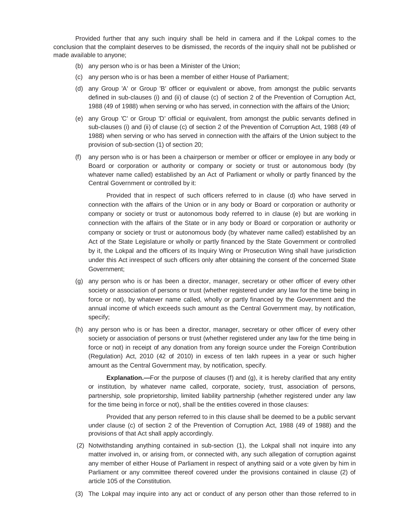Provided further that any such inquiry shall be held in camera and if the Lokpal comes to the conclusion that the complaint deserves to be dismissed, the records of the inquiry shall not be published or made available to anyone;

- (b) any person who is or has been a Minister of the Union;
- (c) any person who is or has been a member of either House of Parliament;
- (d) any Group 'A' or Group 'B' officer or equivalent or above, from amongst the public servants defined in sub-clauses (i) and (ii) of clause (c) of section 2 of the Prevention of Corruption Act, 1988 (49 of 1988) when serving or who has served, in connection with the affairs of the Union;
- (e) any Group 'C' or Group 'D' official or equivalent, from amongst the public servants defined in sub-clauses (i) and (ii) of clause (c) of section 2 of the Prevention of Corruption Act, 1988 (49 of 1988) when serving or who has served in connection with the affairs of the Union subject to the provision of sub-section (1) of section 20;
- (f) any person who is or has been a chairperson or member or officer or employee in any body or Board or corporation or authority or company or society or trust or autonomous body (by whatever name called) established by an Act of Parliament or wholly or partly financed by the Central Government or controlled by it:

Provided that in respect of such officers referred to in clause (d) who have served in connection with the affairs of the Union or in any body or Board or corporation or authority or company or society or trust or autonomous body referred to in clause (e) but are working in connection with the affairs of the State or in any body or Board or corporation or authority or company or society or trust or autonomous body (by whatever name called) established by an Act of the State Legislature or wholly or partly financed by the State Government or controlled by it, the Lokpal and the officers of its Inquiry Wing or Prosecution Wing shall have jurisdiction under this Act inrespect of such officers only after obtaining the consent of the concerned State Government;

- (g) any person who is or has been a director, manager, secretary or other officer of every other society or association of persons or trust (whether registered under any law for the time being in force or not), by whatever name called, wholly or partly financed by the Government and the annual income of which exceeds such amount as the Central Government may, by notification, specify;
- (h) any person who is or has been a director, manager, secretary or other officer of every other society or association of persons or trust (whether registered under any law for the time being in force or not) in receipt of any donation from any foreign source under the Foreign Contribution (Regulation) Act, 2010 (42 of 2010) in excess of ten lakh rupees in a year or such higher amount as the Central Government may, by notification, specify.

**Explanation.—**For the purpose of clauses (f) and (g), it is hereby clarified that any entity or institution, by whatever name called, corporate, society, trust, association of persons, partnership, sole proprietorship, limited liability partnership (whether registered under any law for the time being in force or not), shall be the entities covered in those clauses:

Provided that any person referred to in this clause shall be deemed to be a public servant under clause (c) of section 2 of the Prevention of Corruption Act, 1988 (49 of 1988) and the provisions of that Act shall apply accordingly.

- (2) Notwithstanding anything contained in sub-section (1), the Lokpal shall not inquire into any matter involved in, or arising from, or connected with, any such allegation of corruption against any member of either House of Parliament in respect of anything said or a vote given by him in Parliament or any committee thereof covered under the provisions contained in clause (2) of article 105 of the Constitution.
- (3) The Lokpal may inquire into any act or conduct of any person other than those referred to in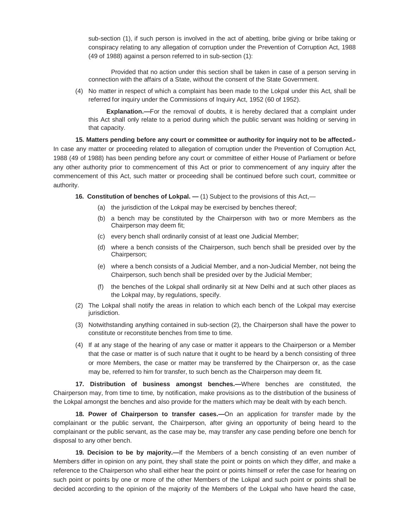sub-section (1), if such person is involved in the act of abetting, bribe giving or bribe taking or conspiracy relating to any allegation of corruption under the Prevention of Corruption Act, 1988 (49 of 1988) against a person referred to in sub-section (1):

Provided that no action under this section shall be taken in case of a person serving in connection with the affairs of a State, without the consent of the State Government.

(4) No matter in respect of which a complaint has been made to the Lokpal under this Act, shall be referred for inquiry under the Commissions of Inquiry Act, 1952 (60 of 1952).

**Explanation.—**For the removal of doubts, it is hereby declared that a complaint under this Act shall only relate to a period during which the public servant was holding or serving in that capacity.

**15. Matters pending before any court or committee or authority for inquiry not to be affected.-** In case any matter or proceeding related to allegation of corruption under the Prevention of Corruption Act, 1988 (49 of 1988) has been pending before any court or committee of either House of Parliament or before any other authority prior to commencement of this Act or prior to commencement of any inquiry after the commencement of this Act, such matter or proceeding shall be continued before such court, committee or authority.

**16. Constitution of benches of Lokpal. —** (1) Subject to the provisions of this Act,—

- (a) the jurisdiction of the Lokpal may be exercised by benches thereof;
- (b) a bench may be constituted by the Chairperson with two or more Members as the Chairperson may deem fit;
- (c) every bench shall ordinarily consist of at least one Judicial Member;
- (d) where a bench consists of the Chairperson, such bench shall be presided over by the Chairperson;
- (e) where a bench consists of a Judicial Member, and a non-Judicial Member, not being the Chairperson, such bench shall be presided over by the Judicial Member;
- (f) the benches of the Lokpal shall ordinarily sit at New Delhi and at such other places as the Lokpal may, by regulations, specify.
- (2) The Lokpal shall notify the areas in relation to which each bench of the Lokpal may exercise jurisdiction.
- (3) Notwithstanding anything contained in sub-section (2), the Chairperson shall have the power to constitute or reconstitute benches from time to time.
- (4) If at any stage of the hearing of any case or matter it appears to the Chairperson or a Member that the case or matter is of such nature that it ought to be heard by a bench consisting of three or more Members, the case or matter may be transferred by the Chairperson or, as the case may be, referred to him for transfer, to such bench as the Chairperson may deem fit.

**17. Distribution of business amongst benches.—**Where benches are constituted, the Chairperson may, from time to time, by notification, make provisions as to the distribution of the business of the Lokpal amongst the benches and also provide for the matters which may be dealt with by each bench.

**18. Power of Chairperson to transfer cases.—**On an application for transfer made by the complainant or the public servant, the Chairperson, after giving an opportunity of being heard to the complainant or the public servant, as the case may be, may transfer any case pending before one bench for disposal to any other bench.

**19. Decision to be by majority.—**If the Members of a bench consisting of an even number of Members differ in opinion on any point, they shall state the point or points on which they differ, and make a reference to the Chairperson who shall either hear the point or points himself or refer the case for hearing on such point or points by one or more of the other Members of the Lokpal and such point or points shall be decided according to the opinion of the majority of the Members of the Lokpal who have heard the case,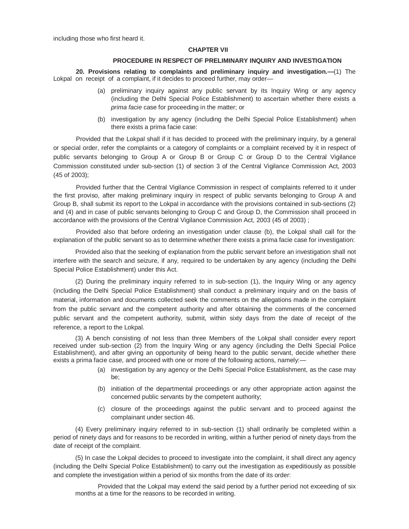including those who first heard it.

#### **CHAPTER VII**

#### **PROCEDURE IN RESPECT OF PRELIMINARY INQUIRY AND INVESTIGATION**

**20. Provisions relating to complaints and preliminary inquiry and investigation.—**(1) The Lokpal on receipt of a complaint, if it decides to proceed further, may order—

- (a) preliminary inquiry against any public servant by its Inquiry Wing or any agency (including the Delhi Special Police Establishment) to ascertain whether there exists a *prima facie* case for proceeding in the matter; or
- (b) investigation by any agency (including the Delhi Special Police Establishment) when there exists a prima facie case:

Provided that the Lokpal shall if it has decided to proceed with the preliminary inquiry, by a general or special order, refer the complaints or a category of complaints or a complaint received by it in respect of public servants belonging to Group A or Group B or Group C or Group D to the Central Vigilance Commission constituted under sub-section (1) of section 3 of the Central Vigilance Commission Act, 2003 (45 of 2003);

Provided further that the Central Vigilance Commission in respect of complaints referred to it under the first proviso, after making preliminary inquiry in respect of public servants belonging to Group A and Group B, shall submit its report to the Lokpal in accordance with the provisions contained in sub-sections (2) and (4) and in case of public servants belonging to Group C and Group D, the Commission shall proceed in accordance with the provisions of the Central Vigilance Commission Act, 2003 (45 of 2003) ;

Provided also that before ordering an investigation under clause (b), the Lokpal shall call for the explanation of the public servant so as to determine whether there exists a prima facie case for investigation:

Provided also that the seeking of explanation from the public servant before an investigation shall not interfere with the search and seizure, if any, required to be undertaken by any agency (including the Delhi Special Police Establishment) under this Act.

(2) During the preliminary inquiry referred to in sub-section (1), the Inquiry Wing or any agency (including the Delhi Special Police Establishment) shall conduct a preliminary inquiry and on the basis of material, information and documents collected seek the comments on the allegations made in the complaint from the public servant and the competent authority and after obtaining the comments of the concerned public servant and the competent authority, submit, within sixty days from the date of receipt of the reference, a report to the Lokpal.

(3) A bench consisting of not less than three Members of the Lokpal shall consider every report received under sub-section (2) from the Inquiry Wing or any agency (including the Delhi Special Police Establishment), and after giving an opportunity of being heard to the public servant, decide whether there exists a prima facie case, and proceed with one or more of the following actions, namely:—

- (a) investigation by any agency or the Delhi Special Police Establishment, as the case may be;
- (b) initiation of the departmental proceedings or any other appropriate action against the concerned public servants by the competent authority;
- (c) closure of the proceedings against the public servant and to proceed against the complainant under section 46.

(4) Every preliminary inquiry referred to in sub-section (1) shall ordinarily be completed within a period of ninety days and for reasons to be recorded in writing, within a further period of ninety days from the date of receipt of the complaint.

(5) In case the Lokpal decides to proceed to investigate into the complaint, it shall direct any agency (including the Delhi Special Police Establishment) to carry out the investigation as expeditiously as possible and complete the investigation within a period of six months from the date of its order:

Provided that the Lokpal may extend the said period by a further period not exceeding of six months at a time for the reasons to be recorded in writing.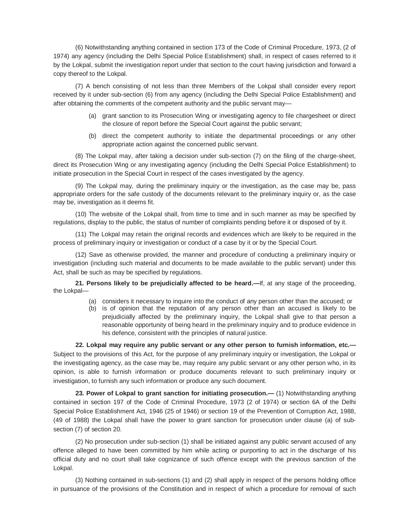(6) Notwithstanding anything contained in section 173 of the Code of Criminal Procedure, 1973, (2 of 1974) any agency (including the Delhi Special Police Establishment) shall, in respect of cases referred to it by the Lokpal, submit the investigation report under that section to the court having jurisdiction and forward a copy thereof to the Lokpal.

(7) A bench consisting of not less than three Members of the Lokpal shall consider every report received by it under sub-section (6) from any agency (including the Delhi Special Police Establishment) and after obtaining the comments of the competent authority and the public servant may—

- (a) grant sanction to its Prosecution Wing or investigating agency to file chargesheet or direct the closure of report before the Special Court against the public servant;
- (b) direct the competent authority to initiate the departmental proceedings or any other appropriate action against the concerned public servant.

(8) The Lokpal may, after taking a decision under sub-section (7) on the filing of the charge-sheet, direct its Prosecution Wing or any investigating agency (including the Delhi Special Police Establishment) to initiate prosecution in the Special Court in respect of the cases investigated by the agency.

(9) The Lokpal may, during the preliminary inquiry or the investigation, as the case may be, pass appropriate orders for the safe custody of the documents relevant to the preliminary inquiry or, as the case may be, investigation as it deems fit.

(10) The website of the Lokpal shall, from time to time and in such manner as may be specified by regulations, display to the public, the status of number of complaints pending before it or disposed of by it.

(11) The Lokpal may retain the original records and evidences which are likely to be required in the process of preliminary inquiry or investigation or conduct of a case by it or by the Special Court.

(12) Save as otherwise provided, the manner and procedure of conducting a preliminary inquiry or investigation (including such material and documents to be made available to the public servant) under this Act, shall be such as may be specified by regulations.

**21. Persons likely to be prejudicially affected to be heard.—**If, at any stage of the proceeding, the Lokpal—

- (a) considers it necessary to inquire into the conduct of any person other than the accused; or
- (b) is of opinion that the reputation of any person other than an accused is likely to be prejudicially affected by the preliminary inquiry, the Lokpal shall give to that person a reasonable opportunity of being heard in the preliminary inquiry and to produce evidence in his defence, consistent with the principles of natural justice.

**22. Lokpal may require any public servant or any other person to furnish information, etc.—** Subject to the provisions of this Act, for the purpose of any preliminary inquiry or investigation, the Lokpal or the investigating agency, as the case may be, may require any public servant or any other person who, in its opinion, is able to furnish information or produce documents relevant to such preliminary inquiry or investigation, to furnish any such information or produce any such document.

**23. Power of Lokpal to grant sanction for initiating prosecution.—** (1) Notwithstanding anything contained in section 197 of the Code of Criminal Procedure, 1973 (2 of 1974) or section 6A of the Delhi Special Police Establishment Act, 1946 (25 of 1946) or section 19 of the Prevention of Corruption Act, 1988, (49 of 1988) the Lokpal shall have the power to grant sanction for prosecution under clause (a) of subsection (7) of section 20.

(2) No prosecution under sub-section (1) shall be initiated against any public servant accused of any offence alleged to have been committed by him while acting or purporting to act in the discharge of his official duty and no court shall take cognizance of such offence except with the previous sanction of the Lokpal.

(3) Nothing contained in sub-sections (1) and (2) shall apply in respect of the persons holding office in pursuance of the provisions of the Constitution and in respect of which a procedure for removal of such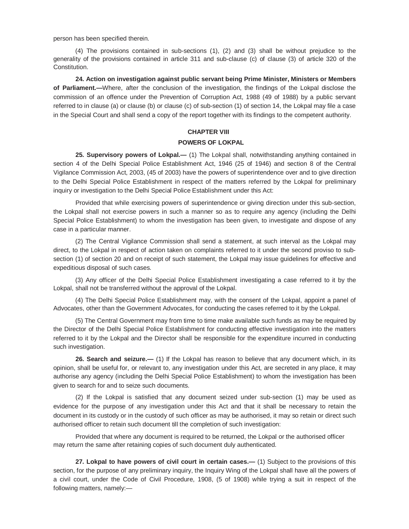person has been specified therein.

(4) The provisions contained in sub-sections (1), (2) and (3) shall be without prejudice to the generality of the provisions contained in article 311 and sub-clause (c) of clause (3) of article 320 of the Constitution.

**24. Action on investigation against public servant being Prime Minister, Ministers or Members of Parliament.—**Where, after the conclusion of the investigation, the findings of the Lokpal disclose the commission of an offence under the Prevention of Corruption Act, 1988 (49 of 1988) by a public servant referred to in clause (a) or clause (b) or clause (c) of sub-section (1) of section 14, the Lokpal may file a case in the Special Court and shall send a copy of the report together with its findings to the competent authority.

## **CHAPTER VIII**

## **POWERS OF LOKPAL**

**25. Supervisory powers of Lokpal.—** (1) The Lokpal shall, notwithstanding anything contained in section 4 of the Delhi Special Police Establishment Act, 1946 (25 of 1946) and section 8 of the Central Vigilance Commission Act, 2003, (45 of 2003) have the powers of superintendence over and to give direction to the Delhi Special Police Establishment in respect of the matters referred by the Lokpal for preliminary inquiry or investigation to the Delhi Special Police Establishment under this Act:

Provided that while exercising powers of superintendence or giving direction under this sub-section, the Lokpal shall not exercise powers in such a manner so as to require any agency (including the Delhi Special Police Establishment) to whom the investigation has been given, to investigate and dispose of any case in a particular manner.

(2) The Central Vigilance Commission shall send a statement, at such interval as the Lokpal may direct, to the Lokpal in respect of action taken on complaints referred to it under the second proviso to subsection (1) of section 20 and on receipt of such statement, the Lokpal may issue guidelines for effective and expeditious disposal of such cases.

(3) Any officer of the Delhi Special Police Establishment investigating a case referred to it by the Lokpal, shall not be transferred without the approval of the Lokpal.

(4) The Delhi Special Police Establishment may, with the consent of the Lokpal, appoint a panel of Advocates, other than the Government Advocates, for conducting the cases referred to it by the Lokpal.

(5) The Central Government may from time to time make available such funds as may be required by the Director of the Delhi Special Police Establishment for conducting effective investigation into the matters referred to it by the Lokpal and the Director shall be responsible for the expenditure incurred in conducting such investigation.

**26. Search and seizure.—** (1) If the Lokpal has reason to believe that any document which, in its opinion, shall be useful for, or relevant to, any investigation under this Act, are secreted in any place, it may authorise any agency (including the Delhi Special Police Establishment) to whom the investigation has been given to search for and to seize such documents.

(2) If the Lokpal is satisfied that any document seized under sub-section (1) may be used as evidence for the purpose of any investigation under this Act and that it shall be necessary to retain the document in its custody or in the custody of such officer as may be authorised, it may so retain or direct such authorised officer to retain such document till the completion of such investigation:

Provided that where any document is required to be returned, the Lokpal or the authorised officer may return the same after retaining copies of such document duly authenticated.

**27. Lokpal to have powers of civil court in certain cases.—** (1) Subject to the provisions of this section, for the purpose of any preliminary inquiry, the Inquiry Wing of the Lokpal shall have all the powers of a civil court, under the Code of Civil Procedure, 1908, (5 of 1908) while trying a suit in respect of the following matters, namely:—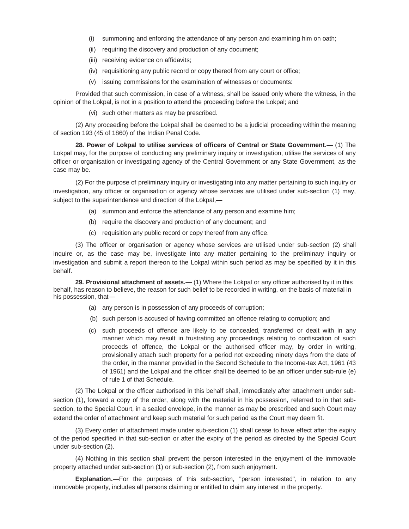- (i) summoning and enforcing the attendance of any person and examining him on oath;
- (ii) requiring the discovery and production of any document;
- (iii) receiving evidence on affidavits;
- (iv) requisitioning any public record or copy thereof from any court or office;
- (v) issuing commissions for the examination of witnesses or documents:

Provided that such commission, in case of a witness, shall be issued only where the witness, in the opinion of the Lokpal, is not in a position to attend the proceeding before the Lokpal; and

(vi) such other matters as may be prescribed.

(2) Any proceeding before the Lokpal shall be deemed to be a judicial proceeding within the meaning of section 193 (45 of 1860) of the Indian Penal Code.

**28. Power of Lokpal to utilise services of officers of Central or State Government.—** (1) The Lokpal may, for the purpose of conducting any preliminary inquiry or investigation, utilise the services of any officer or organisation or investigating agency of the Central Government or any State Government, as the case may be.

(2) For the purpose of preliminary inquiry or investigating into any matter pertaining to such inquiry or investigation, any officer or organisation or agency whose services are utilised under sub-section (1) may, subject to the superintendence and direction of the Lokpal,—

- (a) summon and enforce the attendance of any person and examine him;
- (b) require the discovery and production of any document; and
- (c) requisition any public record or copy thereof from any office.

(3) The officer or organisation or agency whose services are utilised under sub-section (2) shall inquire or, as the case may be, investigate into any matter pertaining to the preliminary inquiry or investigation and submit a report thereon to the Lokpal within such period as may be specified by it in this behalf.

**29. Provisional attachment of assets.—** (1) Where the Lokpal or any officer authorised by it in this behalf, has reason to believe, the reason for such belief to be recorded in writing, on the basis of material in his possession, that—

- (a) any person is in possession of any proceeds of corruption;
- (b) such person is accused of having committed an offence relating to corruption; and
- (c) such proceeds of offence are likely to be concealed, transferred or dealt with in any manner which may result in frustrating any proceedings relating to confiscation of such proceeds of offence, the Lokpal or the authorised officer may, by order in writing, provisionally attach such property for a period not exceeding ninety days from the date of the order, in the manner provided in the Second Schedule to the Income-tax Act, 1961 (43 of 1961) and the Lokpal and the officer shall be deemed to be an officer under sub-rule (e) of rule 1 of that Schedule.

(2) The Lokpal or the officer authorised in this behalf shall, immediately after attachment under subsection (1), forward a copy of the order, along with the material in his possession, referred to in that subsection, to the Special Court, in a sealed envelope, in the manner as may be prescribed and such Court may extend the order of attachment and keep such material for such period as the Court may deem fit.

(3) Every order of attachment made under sub-section (1) shall cease to have effect after the expiry of the period specified in that sub-section or after the expiry of the period as directed by the Special Court under sub-section (2).

(4) Nothing in this section shall prevent the person interested in the enjoyment of the immovable property attached under sub-section (1) or sub-section (2), from such enjoyment.

**Explanation.—**For the purposes of this sub-section, "person interested", in relation to any immovable property, includes all persons claiming or entitled to claim any interest in the property.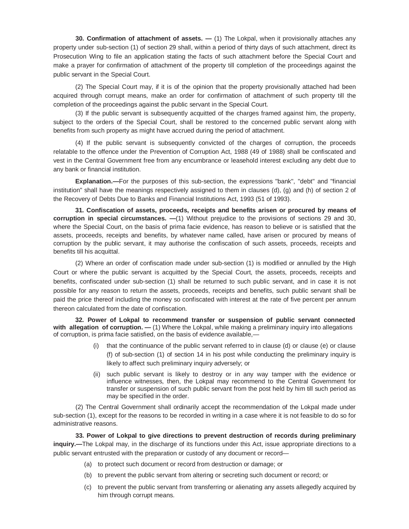**30. Confirmation of attachment of assets.** — (1) The Lokpal, when it provisionally attaches any property under sub-section (1) of section 29 shall, within a period of thirty days of such attachment, direct its Prosecution Wing to file an application stating the facts of such attachment before the Special Court and make a prayer for confirmation of attachment of the property till completion of the proceedings against the public servant in the Special Court.

(2) The Special Court may, if it is of the opinion that the property provisionally attached had been acquired through corrupt means, make an order for confirmation of attachment of such property till the completion of the proceedings against the public servant in the Special Court.

(3) If the public servant is subsequently acquitted of the charges framed against him, the property, subject to the orders of the Special Court, shall be restored to the concerned public servant along with benefits from such property as might have accrued during the period of attachment.

(4) If the public servant is subsequently convicted of the charges of corruption, the proceeds relatable to the offence under the Prevention of Corruption Act, 1988 (49 of 1988) shall be confiscated and vest in the Central Government free from any encumbrance or leasehold interest excluding any debt due to any bank or financial institution.

**Explanation.—**For the purposes of this sub-section, the expressions "bank", "debt" and "financial institution" shall have the meanings respectively assigned to them in clauses (d), (g) and (h) of section 2 of the Recovery of Debts Due to Banks and Financial Institutions Act, 1993 (51 of 1993).

**31. Confiscation of assets, proceeds, receipts and benefits arisen or procured by means of corruption in special circumstances. —**(1) Without prejudice to the provisions of sections 29 and 30, where the Special Court, on the basis of prima facie evidence, has reason to believe or is satisfied that the assets, proceeds, receipts and benefits, by whatever name called, have arisen or procured by means of corruption by the public servant, it may authorise the confiscation of such assets, proceeds, receipts and benefits till his acquittal.

(2) Where an order of confiscation made under sub-section (1) is modified or annulled by the High Court or where the public servant is acquitted by the Special Court, the assets, proceeds, receipts and benefits, confiscated under sub-section (1) shall be returned to such public servant, and in case it is not possible for any reason to return the assets, proceeds, receipts and benefits, such public servant shall be paid the price thereof including the money so confiscated with interest at the rate of five percent per annum thereon calculated from the date of confiscation.

**32. Power of Lokpal to recommend transfer or suspension of public servant connected with allegation of corruption. —** (1) Where the Lokpal, while making a preliminary inquiry into allegations of corruption, is prima facie satisfied, on the basis of evidence available,—

- (i) that the continuance of the public servant referred to in clause (d) or clause (e) or clause (f) of sub-section (1) of section 14 in his post while conducting the preliminary inquiry is likely to affect such preliminary inquiry adversely; or
- (ii) such public servant is likely to destroy or in any way tamper with the evidence or influence witnesses, then, the Lokpal may recommend to the Central Government for transfer or suspension of such public servant from the post held by him till such period as may be specified in the order.

(2) The Central Government shall ordinarily accept the recommendation of the Lokpal made under sub-section (1), except for the reasons to be recorded in writing in a case where it is not feasible to do so for administrative reasons.

**33. Power of Lokpal to give directions to prevent destruction of records during preliminary inquiry.—**The Lokpal may, in the discharge of its functions under this Act, issue appropriate directions to a public servant entrusted with the preparation or custody of any document or record—

- (a) to protect such document or record from destruction or damage; or
- (b) to prevent the public servant from altering or secreting such document or record; or
- (c) to prevent the public servant from transferring or alienating any assets allegedly acquired by him through corrupt means.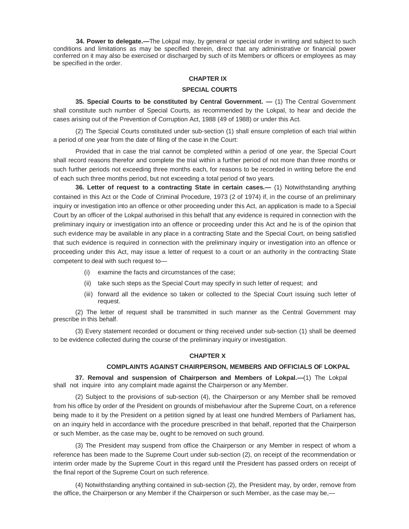**34. Power to delegate.—**The Lokpal may, by general or special order in writing and subject to such conditions and limitations as may be specified therein, direct that any administrative or financial power conferred on it may also be exercised or discharged by such of its Members or officers or employees as may be specified in the order.

#### **CHAPTER IX**

#### **SPECIAL COURTS**

**35. Special Courts to be constituted by Central Government. —** (1) The Central Government shall constitute such number of Special Courts, as recommended by the Lokpal, to hear and decide the cases arising out of the Prevention of Corruption Act, 1988 (49 of 1988) or under this Act.

(2) The Special Courts constituted under sub-section (1) shall ensure completion of each trial within a period of one year from the date of filing of the case in the Court:

Provided that in case the trial cannot be completed within a period of one year, the Special Court shall record reasons therefor and complete the trial within a further period of not more than three months or such further periods not exceeding three months each, for reasons to be recorded in writing before the end of each such three months period, but not exceeding a total period of two years.

**36. Letter of request to a contracting State in certain cases.—** (1) Notwithstanding anything contained in this Act or the Code of Criminal Procedure, 1973 (2 of 1974) if, in the course of an preliminary inquiry or investigation into an offence or other proceeding under this Act, an application is made to a Special Court by an officer of the Lokpal authorised in this behalf that any evidence is required in connection with the preliminary inquiry or investigation into an offence or proceeding under this Act and he is of the opinion that such evidence may be available in any place in a contracting State and the Special Court, on being satisfied that such evidence is required in connection with the preliminary inquiry or investigation into an offence or proceeding under this Act, may issue a letter of request to a court or an authority in the contracting State competent to deal with such request to—

- (i) examine the facts and circumstances of the case;
- (ii) take such steps as the Special Court may specify in such letter of request; and
- (iii) forward all the evidence so taken or collected to the Special Court issuing such letter of request.

(2) The letter of request shall be transmitted in such manner as the Central Government may prescribe in this behalf.

(3) Every statement recorded or document or thing received under sub-section (1) shall be deemed to be evidence collected during the course of the preliminary inquiry or investigation.

### **CHAPTER X**

### **COMPLAINTS AGAINST CHAIRPERSON, MEMBERS AND OFFICIALS OF LOKPAL**

**37. Removal and suspension of Chairperson and Members of Lokpal.—**(1) The Lokpal shall not inquire into any complaint made against the Chairperson or any Member.

(2) Subject to the provisions of sub-section (4), the Chairperson or any Member shall be removed from his office by order of the President on grounds of misbehaviour after the Supreme Court, on a reference being made to it by the President on a petition signed by at least one hundred Members of Parliament has, on an inquiry held in accordance with the procedure prescribed in that behalf, reported that the Chairperson or such Member, as the case may be, ought to be removed on such ground.

(3) The President may suspend from office the Chairperson or any Member in respect of whom a reference has been made to the Supreme Court under sub-section (2), on receipt of the recommendation or interim order made by the Supreme Court in this regard until the President has passed orders on receipt of the final report of the Supreme Court on such reference.

(4) Notwithstanding anything contained in sub-section (2), the President may, by order, remove from the office, the Chairperson or any Member if the Chairperson or such Member, as the case may be,—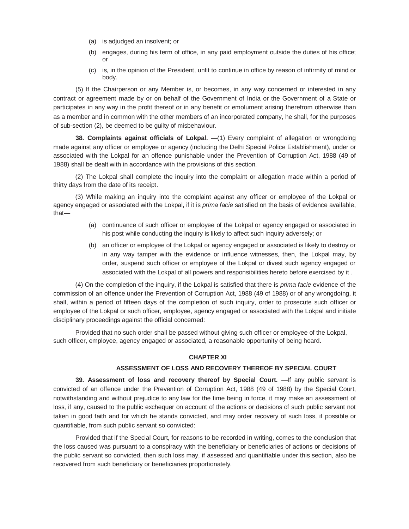- (a) is adjudged an insolvent; or
- (b) engages, during his term of office, in any paid employment outside the duties of his office; or
- (c) is, in the opinion of the President, unfit to continue in office by reason of infirmity of mind or body.

(5) If the Chairperson or any Member is, or becomes, in any way concerned or interested in any contract or agreement made by or on behalf of the Government of India or the Government of a State or participates in any way in the profit thereof or in any benefit or emolument arising therefrom otherwise than as a member and in common with the other members of an incorporated company, he shall, for the purposes of sub-section (2), be deemed to be guilty of misbehaviour.

**38. Complaints against officials of Lokpal. —**(1) Every complaint of allegation or wrongdoing made against any officer or employee or agency (including the Delhi Special Police Establishment), under or associated with the Lokpal for an offence punishable under the Prevention of Corruption Act, 1988 (49 of 1988) shall be dealt with in accordance with the provisions of this section.

(2) The Lokpal shall complete the inquiry into the complaint or allegation made within a period of thirty days from the date of its receipt.

(3) While making an inquiry into the complaint against any officer or employee of the Lokpal or agency engaged or associated with the Lokpal, if it is *prima facie* satisfied on the basis of evidence available, that—

- (a) continuance of such officer or employee of the Lokpal or agency engaged or associated in his post while conducting the inquiry is likely to affect such inquiry adversely; or
- (b) an officer or employee of the Lokpal or agency engaged or associated is likely to destroy or in any way tamper with the evidence or influence witnesses, then, the Lokpal may, by order, suspend such officer or employee of the Lokpal or divest such agency engaged or associated with the Lokpal of all powers and responsibilities hereto before exercised by it .

(4) On the completion of the inquiry, if the Lokpal is satisfied that there is *prima facie* evidence of the commission of an offence under the Prevention of Corruption Act, 1988 (49 of 1988) or of any wrongdoing, it shall, within a period of fifteen days of the completion of such inquiry, order to prosecute such officer or employee of the Lokpal or such officer, employee, agency engaged or associated with the Lokpal and initiate disciplinary proceedings against the official concerned:

Provided that no such order shall be passed without giving such officer or employee of the Lokpal, such officer, employee, agency engaged or associated, a reasonable opportunity of being heard.

## **CHAPTER XI**

### **ASSESSMENT OF LOSS AND RECOVERY THEREOF BY SPECIAL COURT**

**39. Assessment of loss and recovery thereof by Special Court.** —If any public servant is convicted of an offence under the Prevention of Corruption Act, 1988 (49 of 1988) by the Special Court, notwithstanding and without prejudice to any law for the time being in force, it may make an assessment of loss, if any, caused to the public exchequer on account of the actions or decisions of such public servant not taken in good faith and for which he stands convicted, and may order recovery of such loss, if possible or quantifiable, from such public servant so convicted:

Provided that if the Special Court, for reasons to be recorded in writing, comes to the conclusion that the loss caused was pursuant to a conspiracy with the beneficiary or beneficiaries of actions or decisions of the public servant so convicted, then such loss may, if assessed and quantifiable under this section, also be recovered from such beneficiary or beneficiaries proportionately.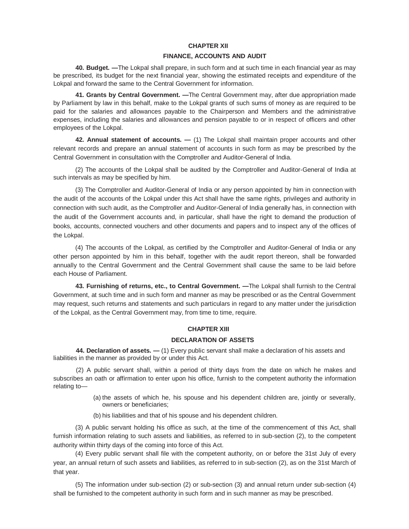#### **CHAPTER XII**

#### **FINANCE, ACCOUNTS AND AUDIT**

**40. Budget. —**The Lokpal shall prepare, in such form and at such time in each financial year as may be prescribed, its budget for the next financial year, showing the estimated receipts and expenditure of the Lokpal and forward the same to the Central Government for information.

**41. Grants by Central Government. —**The Central Government may, after due appropriation made by Parliament by law in this behalf, make to the Lokpal grants of such sums of money as are required to be paid for the salaries and allowances payable to the Chairperson and Members and the administrative expenses, including the salaries and allowances and pension payable to or in respect of officers and other employees of the Lokpal.

**42. Annual statement of accounts. —** (1) The Lokpal shall maintain proper accounts and other relevant records and prepare an annual statement of accounts in such form as may be prescribed by the Central Government in consultation with the Comptroller and Auditor-General of India.

(2) The accounts of the Lokpal shall be audited by the Comptroller and Auditor-General of India at such intervals as may be specified by him.

(3) The Comptroller and Auditor-General of India or any person appointed by him in connection with the audit of the accounts of the Lokpal under this Act shall have the same rights, privileges and authority in connection with such audit, as the Comptroller and Auditor-General of India generally has, in connection with the audit of the Government accounts and, in particular, shall have the right to demand the production of books, accounts, connected vouchers and other documents and papers and to inspect any of the offices of the Lokpal.

(4) The accounts of the Lokpal, as certified by the Comptroller and Auditor-General of India or any other person appointed by him in this behalf, together with the audit report thereon, shall be forwarded annually to the Central Government and the Central Government shall cause the same to be laid before each House of Parliament.

**43. Furnishing of returns, etc., to Central Government. —**The Lokpal shall furnish to the Central Government, at such time and in such form and manner as may be prescribed or as the Central Government may request, such returns and statements and such particulars in regard to any matter under the jurisdiction of the Lokpal, as the Central Government may, from time to time, require.

### **CHAPTER XIII**

#### **DECLARATION OF ASSETS**

**44. Declaration of assets. —** (1) Every public servant shall make a declaration of his assets and liabilities in the manner as provided by or under this Act.

(2) A public servant shall, within a period of thirty days from the date on which he makes and subscribes an oath or affirmation to enter upon his office, furnish to the competent authority the information relating to—

- (a) the assets of which he, his spouse and his dependent children are, jointly or severally, owners or beneficiaries;
- (b) his liabilities and that of his spouse and his dependent children.

(3) A public servant holding his office as such, at the time of the commencement of this Act, shall furnish information relating to such assets and liabilities, as referred to in sub-section (2), to the competent authority within thirty days of the coming into force of this Act.

(4) Every public servant shall file with the competent authority, on or before the 31st July of every year, an annual return of such assets and liabilities, as referred to in sub-section (2), as on the 31st March of that year.

(5) The information under sub-section (2) or sub-section (3) and annual return under sub-section (4) shall be furnished to the competent authority in such form and in such manner as may be prescribed.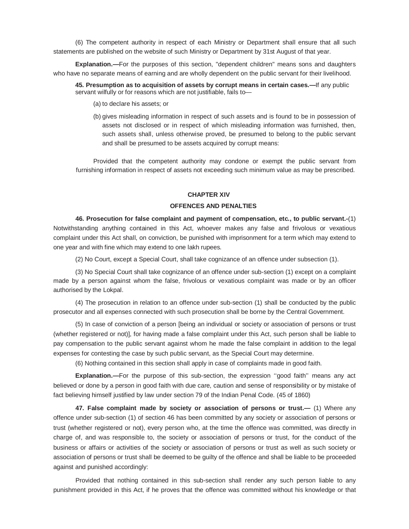(6) The competent authority in respect of each Ministry or Department shall ensure that all such statements are published on the website of such Ministry or Department by 31st August of that year.

**Explanation.—**For the purposes of this section, "dependent children" means sons and daughters who have no separate means of earning and are wholly dependent on the public servant for their livelihood.

**45. Presumption as to acquisition of assets by corrupt means in certain cases.—**If any public servant wilfully or for reasons which are not justifiable, fails to—

- (a) to declare his assets; or
- (b) gives misleading information in respect of such assets and is found to be in possession of assets not disclosed or in respect of which misleading information was furnished, then, such assets shall, unless otherwise proved, be presumed to belong to the public servant and shall be presumed to be assets acquired by corrupt means:

Provided that the competent authority may condone or exempt the public servant from furnishing information in respect of assets not exceeding such minimum value as may be prescribed.

## **CHAPTER XIV**

#### **OFFENCES AND PENALTIES**

**46. Prosecution for false complaint and payment of compensation, etc., to public servant.-**(1) Notwithstanding anything contained in this Act, whoever makes any false and frivolous or vexatious complaint under this Act shall, on conviction, be punished with imprisonment for a term which may extend to one year and with fine which may extend to one lakh rupees.

(2) No Court, except a Special Court, shall take cognizance of an offence under subsection (1).

(3) No Special Court shall take cognizance of an offence under sub-section (1) except on a complaint made by a person against whom the false, frivolous or vexatious complaint was made or by an officer authorised by the Lokpal.

(4) The prosecution in relation to an offence under sub-section (1) shall be conducted by the public prosecutor and all expenses connected with such prosecution shall be borne by the Central Government.

(5) In case of conviction of a person [being an individual or society or association of persons or trust (whether registered or not)], for having made a false complaint under this Act, such person shall be liable to pay compensation to the public servant against whom he made the false complaint in addition to the legal expenses for contesting the case by such public servant, as the Special Court may determine.

(6) Nothing contained in this section shall apply in case of complaints made in good faith.

**Explanation.—**For the purpose of this sub-section, the expression ''good faith'' means any act believed or done by a person in good faith with due care, caution and sense of responsibility or by mistake of fact believing himself justified by law under section 79 of the Indian Penal Code. (45 of 1860)

**47. False complaint made by society or association of persons or trust.—** (1) Where any offence under sub-section (1) of section 46 has been committed by any society or association of persons or trust (whether registered or not), every person who, at the time the offence was committed, was directly in charge of, and was responsible to, the society or association of persons or trust, for the conduct of the business or affairs or activities of the society or association of persons or trust as well as such society or association of persons or trust shall be deemed to be guilty of the offence and shall be liable to be proceeded against and punished accordingly:

Provided that nothing contained in this sub-section shall render any such person liable to any punishment provided in this Act, if he proves that the offence was committed without his knowledge or that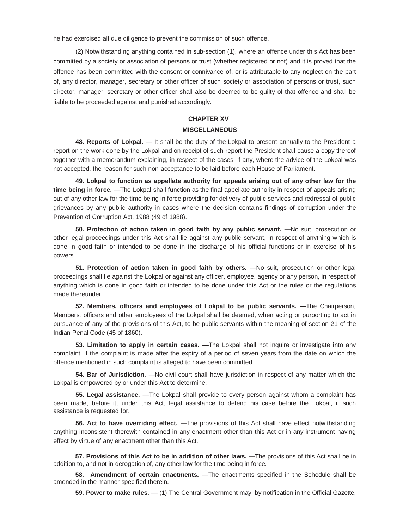he had exercised all due diligence to prevent the commission of such offence.

(2) Notwithstanding anything contained in sub-section (1), where an offence under this Act has been committed by a society or association of persons or trust (whether registered or not) and it is proved that the offence has been committed with the consent or connivance of, or is attributable to any neglect on the part of, any director, manager, secretary or other officer of such society or association of persons or trust, such director, manager, secretary or other officer shall also be deemed to be guilty of that offence and shall be liable to be proceeded against and punished accordingly.

## **CHAPTER XV MISCELLANEOUS**

**48. Reports of Lokpal. —** It shall be the duty of the Lokpal to present annually to the President a report on the work done by the Lokpal and on receipt of such report the President shall cause a copy thereof together with a memorandum explaining, in respect of the cases, if any, where the advice of the Lokpal was not accepted, the reason for such non-acceptance to be laid before each House of Parliament.

**49. Lokpal to function as appellate authority for appeals arising out of any other law for the time being in force. —**The Lokpal shall function as the final appellate authority in respect of appeals arising out of any other law for the time being in force providing for delivery of public services and redressal of public grievances by any public authority in cases where the decision contains findings of corruption under the Prevention of Corruption Act, 1988 (49 of 1988).

**50. Protection of action taken in good faith by any public servant. —**No suit, prosecution or other legal proceedings under this Act shall lie against any public servant, in respect of anything which is done in good faith or intended to be done in the discharge of his official functions or in exercise of his powers.

**51. Protection of action taken in good faith by others. —**No suit, prosecution or other legal proceedings shall lie against the Lokpal or against any officer, employee, agency or any person, in respect of anything which is done in good faith or intended to be done under this Act or the rules or the regulations made thereunder.

**52. Members, officers and employees of Lokpal to be public servants. —**The Chairperson, Members, officers and other employees of the Lokpal shall be deemed, when acting or purporting to act in pursuance of any of the provisions of this Act, to be public servants within the meaning of section 21 of the Indian Penal Code (45 of 1860).

**53. Limitation to apply in certain cases. —**The Lokpal shall not inquire or investigate into any complaint, if the complaint is made after the expiry of a period of seven years from the date on which the offence mentioned in such complaint is alleged to have been committed.

**54. Bar of Jurisdiction. —**No civil court shall have jurisdiction in respect of any matter which the Lokpal is empowered by or under this Act to determine.

**55. Legal assistance. —**The Lokpal shall provide to every person against whom a complaint has been made, before it, under this Act, legal assistance to defend his case before the Lokpal, if such assistance is requested for.

**56. Act to have overriding effect. —**The provisions of this Act shall have effect notwithstanding anything inconsistent therewith contained in any enactment other than this Act or in any instrument having effect by virtue of any enactment other than this Act.

**57. Provisions of this Act to be in addition of other laws. —**The provisions of this Act shall be in addition to, and not in derogation of, any other law for the time being in force.

**58. Amendment of certain enactments. —**The enactments specified in the Schedule shall be amended in the manner specified therein.

**59. Power to make rules. —** (1) The Central Government may, by notification in the Official Gazette,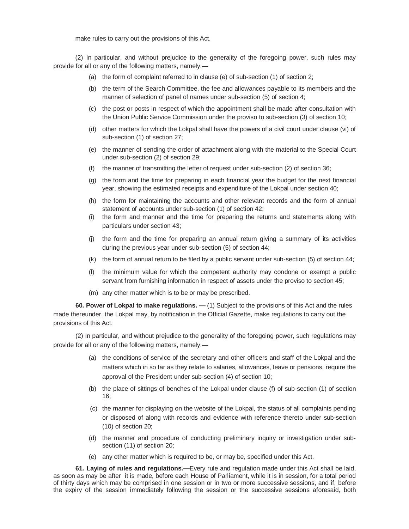make rules to carry out the provisions of this Act.

(2) In particular, and without prejudice to the generality of the foregoing power, such rules may provide for all or any of the following matters, namely:—

- (a) the form of complaint referred to in clause (e) of sub-section (1) of section 2;
- (b) the term of the Search Committee, the fee and allowances payable to its members and the manner of selection of panel of names under sub-section (5) of section 4;
- (c) the post or posts in respect of which the appointment shall be made after consultation with the Union Public Service Commission under the proviso to sub-section (3) of section 10;
- (d) other matters for which the Lokpal shall have the powers of a civil court under clause (vi) of sub-section (1) of section 27;
- (e) the manner of sending the order of attachment along with the material to the Special Court under sub-section (2) of section 29;
- (f) the manner of transmitting the letter of request under sub-section (2) of section 36;
- (g) the form and the time for preparing in each financial year the budget for the next financial year, showing the estimated receipts and expenditure of the Lokpal under section 40;
- (h) the form for maintaining the accounts and other relevant records and the form of annual statement of accounts under sub-section (1) of section 42;
- (i) the form and manner and the time for preparing the returns and statements along with particulars under section 43;
- (j) the form and the time for preparing an annual return giving a summary of its activities during the previous year under sub-section (5) of section 44;
- (k) the form of annual return to be filed by a public servant under sub-section (5) of section 44;
- (l) the minimum value for which the competent authority may condone or exempt a public servant from furnishing information in respect of assets under the proviso to section 45;
- (m) any other matter which is to be or may be prescribed.

**60. Power of Lokpal to make regulations. —** (1) Subject to the provisions of this Act and the rules made thereunder, the Lokpal may, by notification in the Official Gazette, make regulations to carry out the provisions of this Act.

(2) In particular, and without prejudice to the generality of the foregoing power, such regulations may provide for all or any of the following matters, namely:—

- (a) the conditions of service of the secretary and other officers and staff of the Lokpal and the matters which in so far as they relate to salaries, allowances, leave or pensions, require the approval of the President under sub-section (4) of section 10;
- (b) the place of sittings of benches of the Lokpal under clause (f) of sub-section (1) of section 16;
- (c) the manner for displaying on the website of the Lokpal, the status of all complaints pending or disposed of along with records and evidence with reference thereto under sub-section (10) of section 20;
- (d) the manner and procedure of conducting preliminary inquiry or investigation under subsection (11) of section 20;
- (e) any other matter which is required to be, or may be, specified under this Act.

**61. Laying of rules and regulations.—**Every rule and regulation made under this Act shall be laid, as soon as may be after it is made, before each House of Parliament, while it is in session, for a total period of thirty days which may be comprised in one session or in two or more successive sessions, and if, before the expiry of the session immediately following the session or the successive sessions aforesaid, both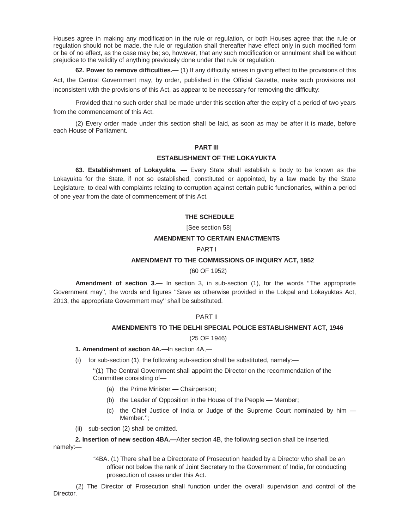Houses agree in making any modification in the rule or regulation, or both Houses agree that the rule or regulation should not be made, the rule or regulation shall thereafter have effect only in such modified form or be of no effect, as the case may be; so, however, that any such modification or annulment shall be without prejudice to the validity of anything previously done under that rule or regulation.

**62. Power to remove difficulties.—** (1) If any difficulty arises in giving effect to the provisions of this Act, the Central Government may, by order, published in the Official Gazette, make such provisions not inconsistent with the provisions of this Act, as appear to be necessary for removing the difficulty:

Provided that no such order shall be made under this section after the expiry of a period of two years from the commencement of this Act.

(2) Every order made under this section shall be laid, as soon as may be after it is made, before each House of Parliament.

### **PART III**

### **ESTABLISHMENT OF THE LOKAYUKTA**

**63. Establishment of Lokayukta. —** Every State shall establish a body to be known as the Lokayukta for the State, if not so established, constituted or appointed, by a law made by the State Legislature, to deal with complaints relating to corruption against certain public functionaries, within a period of one year from the date of commencement of this Act.

### **THE SCHEDULE**

[See section 58]

### **AMENDMENT TO CERTAIN ENACTMENTS**

### PART I

#### **AMENDMENT TO THE COMMISSIONS OF INQUIRY ACT, 1952**

#### (60 OF 1952)

**Amendment of section 3.—** In section 3, in sub-section (1), for the words ''The appropriate Government may'', the words and figures ''Save as otherwise provided in the Lokpal and Lokayuktas Act, 2013, the appropriate Government may'' shall be substituted.

## PART II

### **AMENDMENTS TO THE DELHI SPECIAL POLICE ESTABLISHMENT ACT, 1946**

#### (25 OF 1946)

## **1. Amendment of section 4A.—**In section 4A,—

(i) for sub-section (1), the following sub-section shall be substituted, namely:—

''(1) The Central Government shall appoint the Director on the recommendation of the Committee consisting of—

- (a) the Prime Minister Chairperson;
- (b) the Leader of Opposition in the House of the People Member;
- (c) the Chief Justice of India or Judge of the Supreme Court nominated by him Member.'';
- (ii) sub-section (2) shall be omitted.

**2. Insertion of new section 4BA.—**After section 4B, the following section shall be inserted, namely:—

> "4BA. (1) There shall be a Directorate of Prosecution headed by a Director who shall be an officer not below the rank of Joint Secretary to the Government of India, for conducting prosecution of cases under this Act.

(2) The Director of Prosecution shall function under the overall supervision and control of the Director.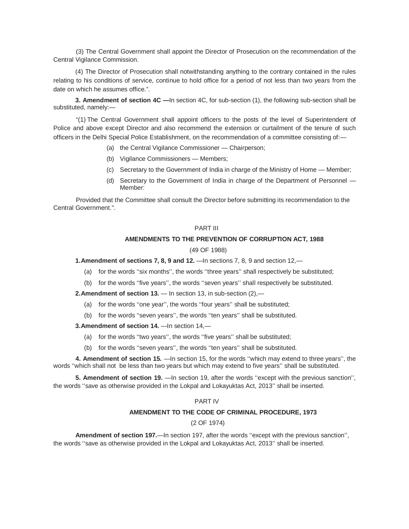(3) The Central Government shall appoint the Director of Prosecution on the recommendation of the Central Vigilance Commission.

(4) The Director of Prosecution shall notwithstanding anything to the contrary contained in the rules relating to his conditions of service, continue to hold office for a period of not less than two years from the date on which he assumes office.".

**3. Amendment of section 4C —**In section 4C, for sub-section (1), the following sub-section shall be substituted, namely:—

"(1) The Central Government shall appoint officers to the posts of the level of Superintendent of Police and above except Director and also recommend the extension or curtailment of the tenure of such officers in the Delhi Special Police Establishment, on the recommendation of a committee consisting of:—

- (a) the Central Vigilance Commissioner Chairperson;
- (b) Vigilance Commissioners Members;
- (c) Secretary to the Government of India in charge of the Ministry of Home Member;
- (d) Secretary to the Government of India in charge of the Department of Personnel Member:

Provided that the Committee shall consult the Director before submitting its recommendation to the Central Government.".

### PART III

## **AMENDMENTS TO THE PREVENTION OF CORRUPTION ACT, 1988**

#### (49 OF 1988)

**1. Amendment of sections 7, 8, 9 and 12.** —In sections 7, 8, 9 and section 12,—

- (a) for the words ''six months'', the words ''three years'' shall respectively be substituted;
- (b) for the words ''five years'', the words ''seven years'' shall respectively be substituted.

**2.Amendment of section 13.** — In section 13, in sub-section (2),—

- (a) for the words ''one year'', the words ''four years'' shall be substituted;
- (b) for the words ''seven years'', the words ''ten years'' shall be substituted.

**3.Amendment of section 14.** —In section 14, —

- (a) for the words ''two years'', the words ''five years'' shall be substituted;
- (b) for the words ''seven years'', the words ''ten years'' shall be substituted.

**4. Amendment of section 15.** —In section 15, for the words ''which may extend to three years'', the words ''which shall not be less than two years but which may extend to five years'' shall be substituted.

**5. Amendment of section 19.** —In section 19, after the words ''except with the previous sanction'', the words ''save as otherwise provided in the Lokpal and Lokayuktas Act, 2013'' shall be inserted.

## PART IV

### **AMENDMENT TO THE CODE OF CRIMINAL PROCEDURE, 1973**

(2 OF 1974)

**Amendment of section 197.—In section 197, after the words "except with the previous sanction",** the words ''save as otherwise provided in the Lokpal and Lokayuktas Act, 2013'' shall be inserted.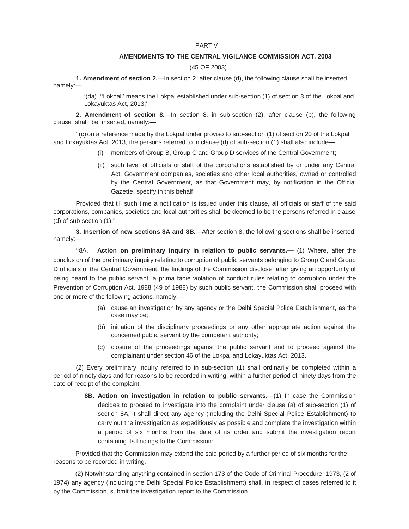#### PART V

#### **AMENDMENTS TO THE CENTRAL VIGILANCE COMMISSION ACT, 2003**

#### (45 OF 2003)

**1. Amendment of section 2.**—In section 2, after clause (d), the following clause shall be inserted, namely:—

> '(da) ''Lokpal'' means the Lokpal established under sub-section (1) of section 3 of the Lokpal and Lokayuktas Act, 2013;'.

**2. Amendment of section 8.**—In section 8, in sub-section (2), after clause (b), the following clause shall be inserted, namely:—

''(c) on a reference made by the Lokpal under proviso to sub-section (1) of section 20 of the Lokpal and Lokayuktas Act, 2013, the persons referred to in clause (d) of sub-section (1) shall also include—

- (i) members of Group B, Group C and Group D services of the Central Government;
- (ii) such level of officials or staff of the corporations established by or under any Central Act, Government companies, societies and other local authorities, owned or controlled by the Central Government, as that Government may, by notification in the Official Gazette, specify in this behalf:

Provided that till such time a notification is issued under this clause, all officials or staff of the said corporations, companies, societies and local authorities shall be deemed to be the persons referred in clause (d) of sub-section (1).".

**3. Insertion of new sections 8A and 8B.—**After section 8, the following sections shall be inserted, namely:—

''8A. **Action on preliminary inquiry in relation to public servants.—** (1) Where, after the conclusion of the preliminary inquiry relating to corruption of public servants belonging to Group C and Group D officials of the Central Government, the findings of the Commission disclose, after giving an opportunity of being heard to the public servant, a prima facie violation of conduct rules relating to corruption under the Prevention of Corruption Act, 1988 (49 of 1988) by such public servant, the Commission shall proceed with one or more of the following actions, namely:—

- (a) cause an investigation by any agency or the Delhi Special Police Establishment, as the case may be;
- (b) initiation of the disciplinary proceedings or any other appropriate action against the concerned public servant by the competent authority;
- (c) closure of the proceedings against the public servant and to proceed against the complainant under section 46 of the Lokpal and Lokayuktas Act, 2013.

(2) Every preliminary inquiry referred to in sub-section (1) shall ordinarily be completed within a period of ninety days and for reasons to be recorded in writing, within a further period of ninety days from the date of receipt of the complaint.

> **8B. Action on investigation in relation to public servants.—**(1) In case the Commission decides to proceed to investigate into the complaint under clause (a) of sub-section (1) of section 8A, it shall direct any agency (including the Delhi Special Police Establishment) to carry out the investigation as expeditiously as possible and complete the investigation within a period of six months from the date of its order and submit the investigation report containing its findings to the Commission:

Provided that the Commission may extend the said period by a further period of six months for the reasons to be recorded in writing.

(2) Notwithstanding anything contained in section 173 of the Code of Criminal Procedure, 1973, (2 of 1974) any agency (including the Delhi Special Police Establishment) shall, in respect of cases referred to it by the Commission, submit the investigation report to the Commission.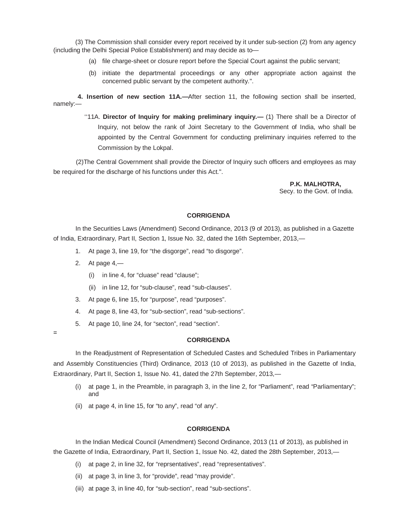(3) The Commission shall consider every report received by it under sub-section (2) from any agency (including the Delhi Special Police Establishment) and may decide as to—

- (a) file charge-sheet or closure report before the Special Court against the public servant;
- (b) initiate the departmental proceedings or any other appropriate action against the concerned public servant by the competent authority.".

**4. Insertion of new section 11A.—**After section 11, the following section shall be inserted, namely:—

> ''11A. **Director of Inquiry for making preliminary inquiry.—** (1) There shall be a Director of Inquiry, not below the rank of Joint Secretary to the Government of India, who shall be appointed by the Central Government for conducting preliminary inquiries referred to the Commission by the Lokpal.

(2)The Central Government shall provide the Director of Inquiry such officers and employees as may be required for the discharge of his functions under this Act.".

> **P.K. MALHOTRA,** Secy. to the Govt. of India.

#### **CORRIGENDA**

In the Securities Laws (Amendment) Second Ordinance, 2013 (9 of 2013), as published in a Gazette of India, Extraordinary, Part II, Section 1, Issue No. 32, dated the 16th September, 2013,—

- 1. At page 3, line 19, for "the disgorge", read "to disgorge".
- 2. At page  $4,$ 
	- (i) in line 4, for "cluase" read "clause";
	- (ii) in line 12, for "sub-clause", read "sub-clauses".
- 3. At page 6, line 15, for "purpose", read "purposes".
- 4. At page 8, line 43, for "sub-section", read "sub-sections".
- 5. At page 10, line 24, for "secton", read "section".
- =

#### **CORRIGENDA**

In the Readjustment of Representation of Scheduled Castes and Scheduled Tribes in Parliamentary and Assembly Constituencies (Third) Ordinance, 2013 (10 of 2013), as published in the Gazette of India, Extraordinary, Part II, Section 1, Issue No. 41, dated the 27th September, 2013,—

- (i) at page 1, in the Preamble, in paragraph 3, in the line 2, for "Parliament", read "Parliamentary"; and
- (ii) at page 4, in line 15, for "to any", read "of any".

#### **CORRIGENDA**

In the Indian Medical Council (Amendment) Second Ordinance, 2013 (11 of 2013), as published in the Gazette of India, Extraordinary, Part II, Section 1, Issue No. 42, dated the 28th September, 2013,—

- (i) at page 2, in line 32, for "reprsentatives", read "representatives".
- (ii) at page 3, in line 3, for "provide", read "may provide".
- (iii) at page 3, in line 40, for "sub-section", read "sub-sections".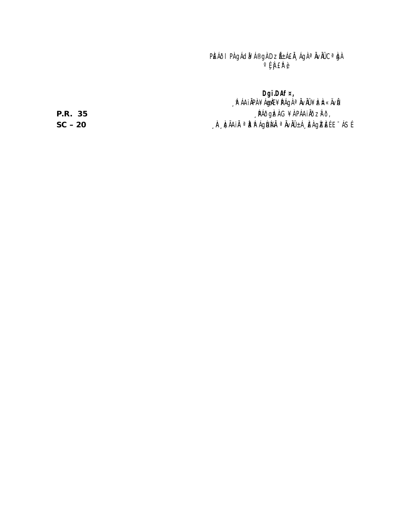PIEAÓL PA GACIX A®GA DZ A±A EA ¸AGA <sup>a</sup> Avau C<sup>a</sup> Iga  $\cup_{\xi}$   $\int$   $E$ <sup> $\theta$ </sup>  $\theta$ 

**Dgï.DAf¤,** ∫N AAI APA¥A G∰E¥NAGA <sup>∞</sup> AVAU ¥ ÞZA¤ «ÄVN **P.R. 35 P.R. 35 PACIFIC A S – 20** ¸ ÀA¸À¢ÃAiÀÄ ª Àåª ÀºÁgÀU À¼ ÀÄ ª ÀÄv ÀÄÛ ±Á¸ À£ À g ÀZ À£ É E¯ÁSÉ.

**SC**